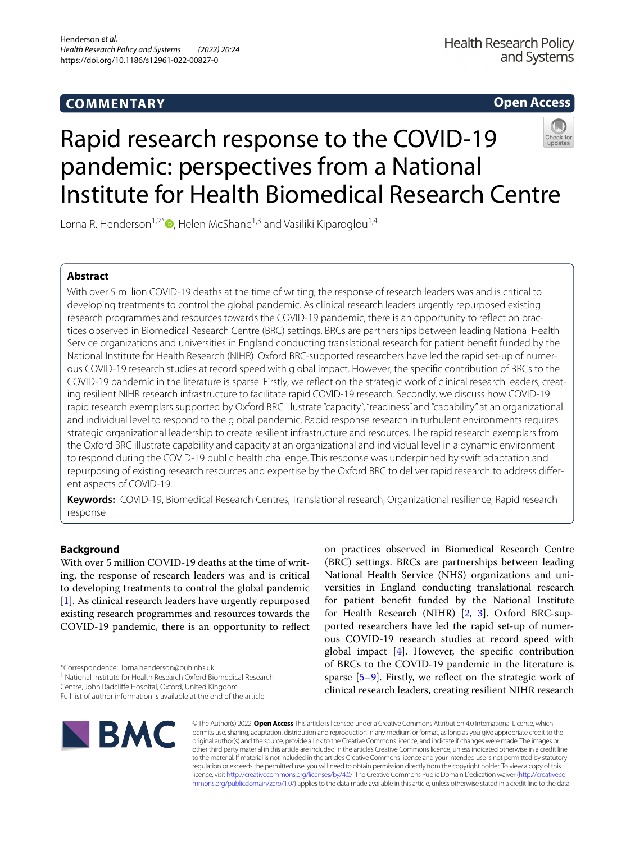# **COMMENTARY**

**Open Access**

# Rapid research response to the COVID-19 pandemic: perspectives from a National Institute for Health Biomedical Research Centre

Lorna R. Henderson<sup>1,2\*</sup> $\bullet$ [,](http://orcid.org/0000-0001-8778-1740) Helen McShane<sup>1,3</sup> and Vasiliki Kiparoglou<sup>1,4</sup>

# **Abstract**

With over 5 million COVID-19 deaths at the time of writing, the response of research leaders was and is critical to developing treatments to control the global pandemic. As clinical research leaders urgently repurposed existing research programmes and resources towards the COVID-19 pandemic, there is an opportunity to refect on practices observed in Biomedical Research Centre (BRC) settings. BRCs are partnerships between leading National Health Service organizations and universities in England conducting translational research for patient beneft funded by the National Institute for Health Research (NIHR). Oxford BRC-supported researchers have led the rapid set-up of numerous COVID-19 research studies at record speed with global impact. However, the specifc contribution of BRCs to the COVID-19 pandemic in the literature is sparse. Firstly, we refect on the strategic work of clinical research leaders, creating resilient NIHR research infrastructure to facilitate rapid COVID-19 research. Secondly, we discuss how COVID-19 rapid research exemplars supported by Oxford BRC illustrate "capacity", "readiness" and "capability" at an organizational and individual level to respond to the global pandemic. Rapid response research in turbulent environments requires strategic organizational leadership to create resilient infrastructure and resources. The rapid research exemplars from the Oxford BRC illustrate capability and capacity at an organizational and individual level in a dynamic environment to respond during the COVID-19 public health challenge. This response was underpinned by swift adaptation and repurposing of existing research resources and expertise by the Oxford BRC to deliver rapid research to address diferent aspects of COVID-19.

**Keywords:** COVID-19, Biomedical Research Centres, Translational research, Organizational resilience, Rapid research response

# **Background**

With over 5 million COVID-19 deaths at the time of writing, the response of research leaders was and is critical to developing treatments to control the global pandemic [[1\]](#page-3-0). As clinical research leaders have urgently repurposed existing research programmes and resources towards the COVID-19 pandemic, there is an opportunity to refect

\*Correspondence: lorna.henderson@ouh.nhs.uk

<sup>1</sup> National Institute for Health Research Oxford Biomedical Research

Centre, John Radclife Hospital, Oxford, United Kingdom

on practices observed in Biomedical Research Centre (BRC) settings. BRCs are partnerships between leading National Health Service (NHS) organizations and universities in England conducting translational research for patient beneft funded by the National Institute for Health Research (NIHR) [[2,](#page-3-1) [3](#page-3-2)]. Oxford BRC-supported researchers have led the rapid set-up of numerous COVID-19 research studies at record speed with global impact [\[4](#page-3-3)]. However, the specifc contribution of BRCs to the COVID-19 pandemic in the literature is sparse  $[5-9]$  $[5-9]$ . Firstly, we reflect on the strategic work of clinical research leaders, creating resilient NIHR research



© The Author(s) 2022. **Open Access** This article is licensed under a Creative Commons Attribution 4.0 International License, which permits use, sharing, adaptation, distribution and reproduction in any medium or format, as long as you give appropriate credit to the original author(s) and the source, provide a link to the Creative Commons licence, and indicate if changes were made. The images or other third party material in this article are included in the article's Creative Commons licence, unless indicated otherwise in a credit line to the material. If material is not included in the article's Creative Commons licence and your intended use is not permitted by statutory regulation or exceeds the permitted use, you will need to obtain permission directly from the copyright holder. To view a copy of this licence, visit [http://creativecommons.org/licenses/by/4.0/.](http://creativecommons.org/licenses/by/4.0/) The Creative Commons Public Domain Dedication waiver ([http://creativeco](http://creativecommons.org/publicdomain/zero/1.0/) [mmons.org/publicdomain/zero/1.0/](http://creativecommons.org/publicdomain/zero/1.0/)) applies to the data made available in this article, unless otherwise stated in a credit line to the data.

Full list of author information is available at the end of the article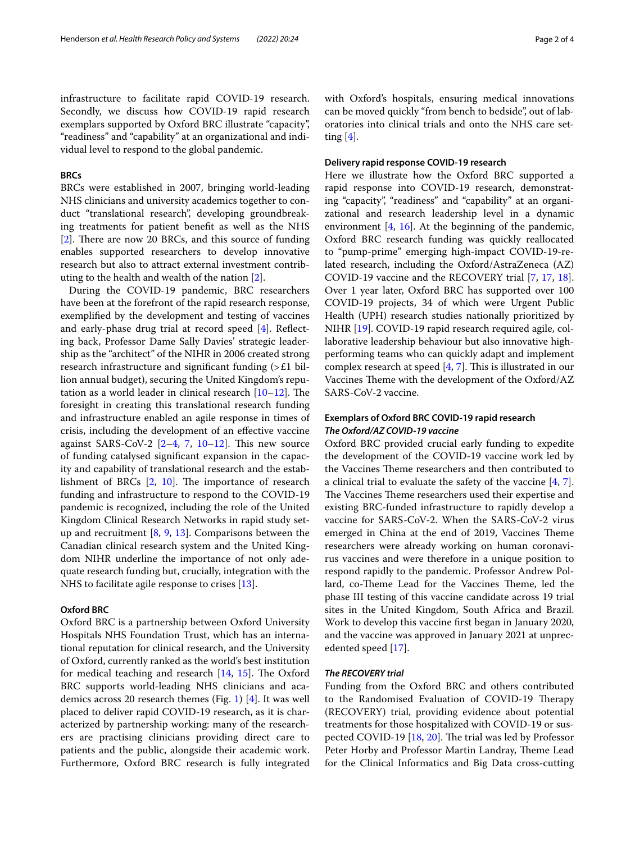infrastructure to facilitate rapid COVID-19 research. Secondly, we discuss how COVID-19 rapid research exemplars supported by Oxford BRC illustrate "capacity", "readiness" and "capability" at an organizational and individual level to respond to the global pandemic.

# **BRCs**

BRCs were established in 2007, bringing world-leading NHS clinicians and university academics together to conduct "translational research", developing groundbreaking treatments for patient beneft as well as the NHS [[2\]](#page-3-1). There are now 20 BRCs, and this source of funding enables supported researchers to develop innovative research but also to attract external investment contributing to the health and wealth of the nation [[2\]](#page-3-1).

During the COVID-19 pandemic, BRC researchers have been at the forefront of the rapid research response, exemplifed by the development and testing of vaccines and early-phase drug trial at record speed [[4\]](#page-3-3). Reflecting back, Professor Dame Sally Davies' strategic leadership as the "architect" of the NIHR in 2006 created strong research infrastructure and significant funding  $\geq E1$  billion annual budget), securing the United Kingdom's reputation as a world leader in clinical research  $[10-12]$  $[10-12]$ . The foresight in creating this translational research funding and infrastructure enabled an agile response in times of crisis, including the development of an efective vaccine against SARS-CoV-2  $[2-4, 7, 10-12]$  $[2-4, 7, 10-12]$  $[2-4, 7, 10-12]$  $[2-4, 7, 10-12]$  $[2-4, 7, 10-12]$  $[2-4, 7, 10-12]$ . This new source of funding catalysed signifcant expansion in the capacity and capability of translational research and the establishment of BRCs  $[2, 10]$  $[2, 10]$  $[2, 10]$  $[2, 10]$  $[2, 10]$ . The importance of research funding and infrastructure to respond to the COVID-19 pandemic is recognized, including the role of the United Kingdom Clinical Research Networks in rapid study setup and recruitment  $[8, 9, 13]$  $[8, 9, 13]$  $[8, 9, 13]$  $[8, 9, 13]$  $[8, 9, 13]$  $[8, 9, 13]$  $[8, 9, 13]$ . Comparisons between the Canadian clinical research system and the United Kingdom NIHR underline the importance of not only adequate research funding but, crucially, integration with the NHS to facilitate agile response to crises [\[13](#page-3-10)].

# **Oxford BRC**

Oxford BRC is a partnership between Oxford University Hospitals NHS Foundation Trust, which has an international reputation for clinical research, and the University of Oxford, currently ranked as the world's best institution for medical teaching and research  $[14, 15]$  $[14, 15]$  $[14, 15]$ . The Oxford BRC supports world-leading NHS clinicians and academics across 20 research themes (Fig. [1\)](#page-2-0) [[4\]](#page-3-3). It was well placed to deliver rapid COVID-19 research, as it is characterized by partnership working: many of the researchers are practising clinicians providing direct care to patients and the public, alongside their academic work. Furthermore, Oxford BRC research is fully integrated with Oxford's hospitals, ensuring medical innovations can be moved quickly "from bench to bedside", out of laboratories into clinical trials and onto the NHS care setting  $[4]$  $[4]$ .

# **Delivery rapid response COVID‑19 research**

Here we illustrate how the Oxford BRC supported a rapid response into COVID-19 research, demonstrating "capacity", "readiness" and "capability" at an organizational and research leadership level in a dynamic environment [\[4,](#page-3-3) [16\]](#page-3-13). At the beginning of the pandemic, Oxford BRC research funding was quickly reallocated to "pump-prime" emerging high-impact COVID-19-related research, including the Oxford/AstraZeneca (AZ) COVID-19 vaccine and the RECOVERY trial [[7,](#page-3-8) [17](#page-3-14), [18](#page-3-15)]. Over 1 year later, Oxford BRC has supported over 100 COVID-19 projects, 34 of which were Urgent Public Health (UPH) research studies nationally prioritized by NIHR [\[19\]](#page-3-16). COVID-19 rapid research required agile, collaborative leadership behaviour but also innovative highperforming teams who can quickly adapt and implement complex research at speed  $[4, 7]$  $[4, 7]$  $[4, 7]$  $[4, 7]$ . This is illustrated in our Vaccines Theme with the development of the Oxford/AZ SARS-CoV-2 vaccine.

# **Exemplars of Oxford BRC COVID‑19 rapid research** *The Oxford/AZ COVID‑19 vaccine*

Oxford BRC provided crucial early funding to expedite the development of the COVID-19 vaccine work led by the Vaccines Theme researchers and then contributed to a clinical trial to evaluate the safety of the vaccine [\[4](#page-3-3), [7](#page-3-8)]. The Vaccines Theme researchers used their expertise and existing BRC-funded infrastructure to rapidly develop a vaccine for SARS-CoV-2. When the SARS-CoV-2 virus emerged in China at the end of 2019, Vaccines Theme researchers were already working on human coronavirus vaccines and were therefore in a unique position to respond rapidly to the pandemic. Professor Andrew Pollard, co-Theme Lead for the Vaccines Theme, led the phase III testing of this vaccine candidate across 19 trial sites in the United Kingdom, South Africa and Brazil. Work to develop this vaccine frst began in January 2020, and the vaccine was approved in January 2021 at unprecedented speed [[17\]](#page-3-14).

# *The RECOVERY trial*

Funding from the Oxford BRC and others contributed to the Randomised Evaluation of COVID-19 Therapy (RECOVERY) trial, providing evidence about potential treatments for those hospitalized with COVID-19 or suspected COVID-19  $[18, 20]$  $[18, 20]$  $[18, 20]$  $[18, 20]$ . The trial was led by Professor Peter Horby and Professor Martin Landray, Theme Lead for the Clinical Informatics and Big Data cross-cutting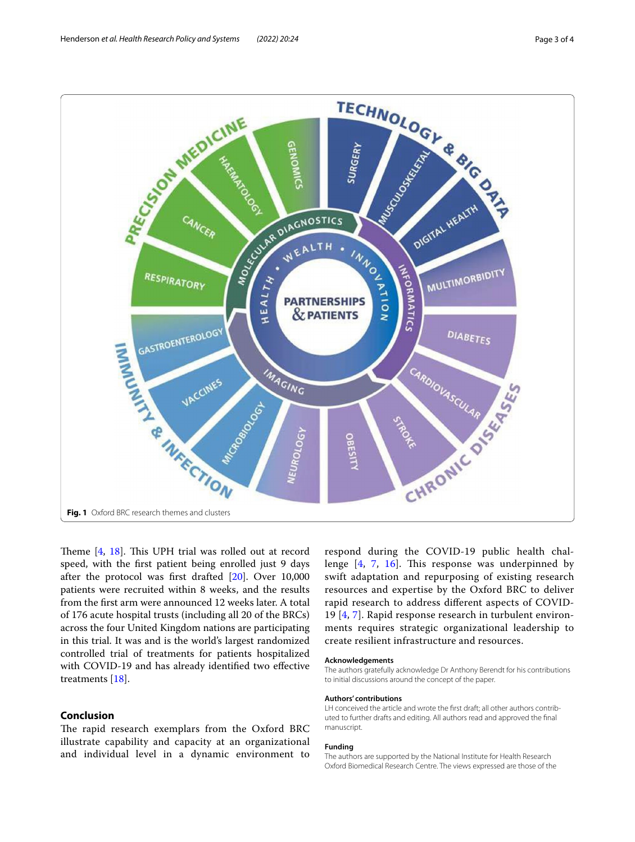

<span id="page-2-0"></span>Theme  $[4, 18]$  $[4, 18]$  $[4, 18]$  $[4, 18]$ . This UPH trial was rolled out at record speed, with the frst patient being enrolled just 9 days after the protocol was frst drafted [[20\]](#page-3-17). Over 10,000 patients were recruited within 8 weeks, and the results from the frst arm were announced 12 weeks later. A total of 176 acute hospital trusts (including all 20 of the BRCs) across the four United Kingdom nations are participating in this trial. It was and is the world's largest randomized controlled trial of treatments for patients hospitalized with COVID-19 and has already identifed two efective treatments [[18](#page-3-15)].

# **Conclusion**

The rapid research exemplars from the Oxford BRC illustrate capability and capacity at an organizational and individual level in a dynamic environment to

respond during the COVID-19 public health challenge  $[4, 7, 16]$  $[4, 7, 16]$  $[4, 7, 16]$  $[4, 7, 16]$  $[4, 7, 16]$  $[4, 7, 16]$  $[4, 7, 16]$ . This response was underpinned by swift adaptation and repurposing of existing research resources and expertise by the Oxford BRC to deliver rapid research to address diferent aspects of COVID-19 [[4,](#page-3-3) [7\]](#page-3-8). Rapid response research in turbulent environments requires strategic organizational leadership to create resilient infrastructure and resources.

#### **Acknowledgements**

The authors gratefully acknowledge Dr Anthony Berendt for his contributions to initial discussions around the concept of the paper.

#### **Authors' contributions**

LH conceived the article and wrote the frst draft; all other authors contributed to further drafts and editing. All authors read and approved the fnal manuscript.

#### **Funding**

The authors are supported by the National Institute for Health Research Oxford Biomedical Research Centre. The views expressed are those of the